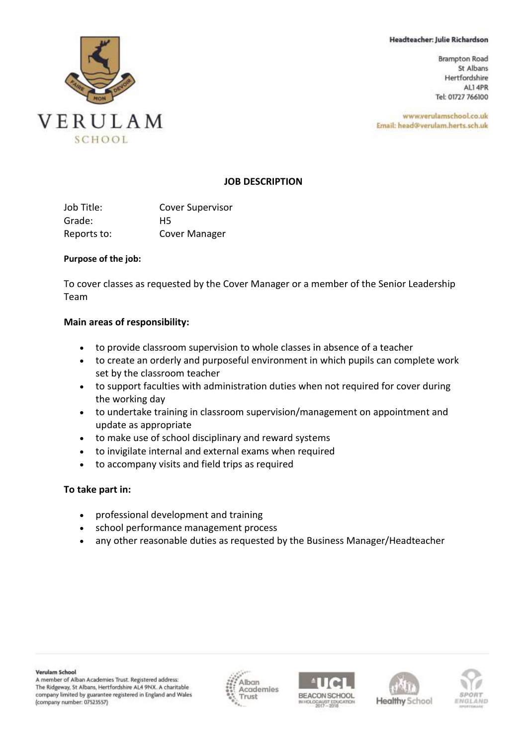#### Headteacher: Julie Richardson

**Brampton Road** St Albans Hertfordshire AL1 4PR Tel: 01727 766100

www.verulamschool.co.uk Email: head@verulam.herts.sch.uk



## **JOB DESCRIPTION**

| Job Title:  | <b>Cover Supervisor</b> |
|-------------|-------------------------|
| Grade:      | H5                      |
| Reports to: | Cover Manager           |

#### **Purpose of the job:**

To cover classes as requested by the Cover Manager or a member of the Senior Leadership Team

## **Main areas of responsibility:**

- to provide classroom supervision to whole classes in absence of a teacher
- to create an orderly and purposeful environment in which pupils can complete work set by the classroom teacher
- to support faculties with administration duties when not required for cover during the working day
- to undertake training in classroom supervision/management on appointment and update as appropriate
- to make use of school disciplinary and reward systems
- to invigilate internal and external exams when required
- to accompany visits and field trips as required

## **To take part in:**

- professional development and training
- school performance management process
- any other reasonable duties as requested by the Business Manager/Headteacher







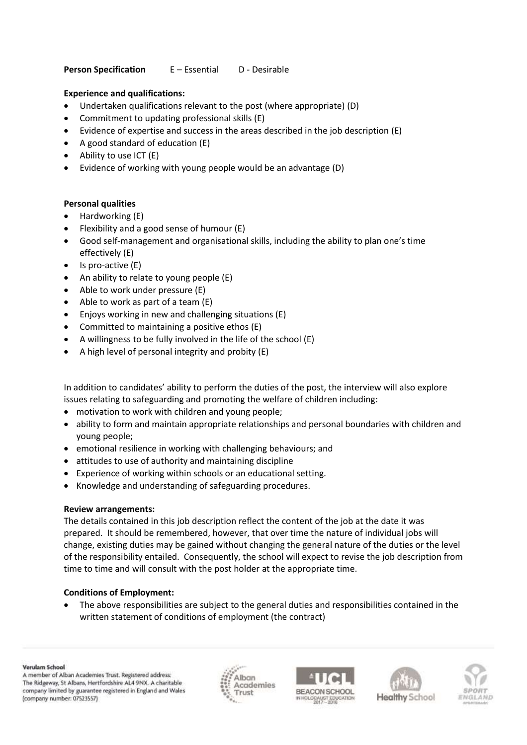## **Person Specification** E – Essential D - Desirable

## **Experience and qualifications:**

- Undertaken qualifications relevant to the post (where appropriate) (D)
- Commitment to updating professional skills (E)
- Evidence of expertise and success in the areas described in the job description (E)
- A good standard of education (E)
- Ability to use ICT (E)
- Evidence of working with young people would be an advantage (D)

# **Personal qualities**

- Hardworking (E)
- Flexibility and a good sense of humour (E)
- Good self-management and organisational skills, including the ability to plan one's time effectively (E)
- Is pro-active (E)
- An ability to relate to young people (E)
- Able to work under pressure (E)
- Able to work as part of a team  $(E)$
- Enjoys working in new and challenging situations (E)
- Committed to maintaining a positive ethos (E)
- A willingness to be fully involved in the life of the school (E)
- A high level of personal integrity and probity (E)

In addition to candidates' ability to perform the duties of the post, the interview will also explore issues relating to safeguarding and promoting the welfare of children including:

- motivation to work with children and young people;
- ability to form and maintain appropriate relationships and personal boundaries with children and young people;
- emotional resilience in working with challenging behaviours; and
- attitudes to use of authority and maintaining discipline
- Experience of working within schools or an educational setting.
- Knowledge and understanding of safeguarding procedures.

## **Review arrangements:**

The details contained in this job description reflect the content of the job at the date it was prepared. It should be remembered, however, that over time the nature of individual jobs will change, existing duties may be gained without changing the general nature of the duties or the level of the responsibility entailed. Consequently, the school will expect to revise the job description from time to time and will consult with the post holder at the appropriate time.

# **Conditions of Employment:**

• The above responsibilities are subject to the general duties and responsibilities contained in the written statement of conditions of employment (the contract)

A member of Alban Academies Trust. Registered address: The Ridgeway, St Albans, Hertfordshire AL4 9NX. A charitable company limited by guarantee registered in England and Wales (company number: 07523557)